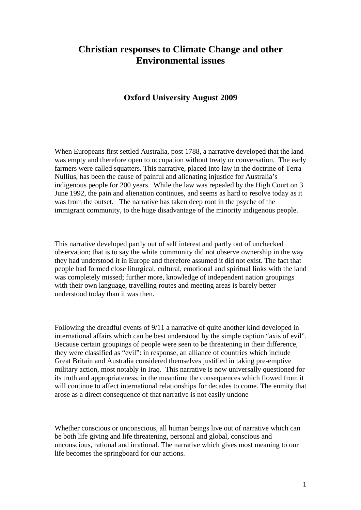## **Christian responses to Climate Change and other Environmental issues**

## **Oxford University August 2009**

When Europeans first settled Australia, post 1788, a narrative developed that the land was empty and therefore open to occupation without treaty or conversation. The early farmers were called squatters. This narrative, placed into law in the doctrine of Terra Nullius, has been the cause of painful and alienating injustice for Australia's indigenous people for 200 years. While the law was repealed by the High Court on 3 June 1992, the pain and alienation continues, and seems as hard to resolve today as it was from the outset. The narrative has taken deep root in the psyche of the immigrant community, to the huge disadvantage of the minority indigenous people.

This narrative developed partly out of self interest and partly out of unchecked observation; that is to say the white community did not observe ownership in the way they had understood it in Europe and therefore assumed it did not exist. The fact that people had formed close liturgical, cultural, emotional and spiritual links with the land was completely missed; further more, knowledge of independent nation groupings with their own language, travelling routes and meeting areas is barely better understood today than it was then.

Following the dreadful events of 9/11 a narrative of quite another kind developed in international affairs which can be best understood by the simple caption "axis of evil". Because certain groupings of people were seen to be threatening in their difference, they were classified as "evil": in response, an alliance of countries which include Great Britain and Australia considered themselves justified in taking pre-emptive military action, most notably in Iraq. This narrative is now universally questioned for its truth and appropriateness; in the meantime the consequences which flowed from it will continue to affect international relationships for decades to come. The enmity that arose as a direct consequence of that narrative is not easily undone

Whether conscious or unconscious, all human beings live out of narrative which can be both life giving and life threatening, personal and global, conscious and unconscious, rational and irrational. The narrative which gives most meaning to our life becomes the springboard for our actions.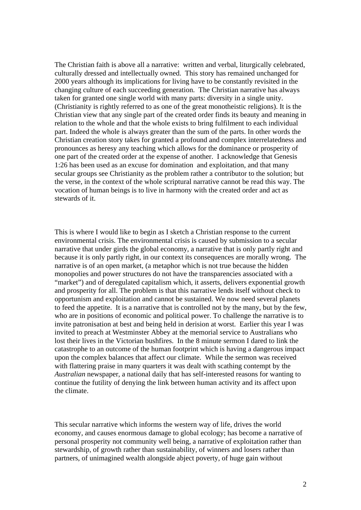The Christian faith is above all a narrative: written and verbal, liturgically celebrated, culturally dressed and intellectually owned. This story has remained unchanged for 2000 years although its implications for living have to be constantly revisited in the changing culture of each succeeding generation. The Christian narrative has always taken for granted one single world with many parts: diversity in a single unity. (Christianity is rightly referred to as one of the great monotheistic religions). It is the Christian view that any single part of the created order finds its beauty and meaning in relation to the whole and that the whole exists to bring fulfilment to each individual part. Indeed the whole is always greater than the sum of the parts. In other words the Christian creation story takes for granted a profound and complex interrelatedness and pronounces as heresy any teaching which allows for the dominance or prosperity of one part of the created order at the expense of another. I acknowledge that Genesis 1:26 has been used as an excuse for domination and exploitation, and that many secular groups see Christianity as the problem rather a contributor to the solution; but the verse, in the context of the whole scriptural narrative cannot be read this way. The vocation of human beings is to live in harmony with the created order and act as stewards of it.

This is where I would like to begin as I sketch a Christian response to the current environmental crisis. The environmental crisis is caused by submission to a secular narrative that under girds the global economy, a narrative that is only partly right and because it is only partly right, in our context its consequences are morally wrong. The narrative is of an open market, (a metaphor which is not true because the hidden monopolies and power structures do not have the transparencies associated with a "market") and of deregulated capitalism which, it asserts, delivers exponential growth and prosperity for all. The problem is that this narrative lends itself without check to opportunism and exploitation and cannot be sustained. We now need several planets to feed the appetite. It is a narrative that is controlled not by the many, but by the few, who are in positions of economic and political power. To challenge the narrative is to invite patronisation at best and being held in derision at worst. Earlier this year I was invited to preach at Westminster Abbey at the memorial service to Australians who lost their lives in the Victorian bushfires. In the 8 minute sermon I dared to link the catastrophe to an outcome of the human footprint which is having a dangerous impact upon the complex balances that affect our climate. While the sermon was received with flattering praise in many quarters it was dealt with scathing contempt by the *Australian* newspaper, a national daily that has self-interested reasons for wanting to continue the futility of denying the link between human activity and its affect upon the climate.

This secular narrative which informs the western way of life, drives the world economy, and causes enormous damage to global ecology; has become a narrative of personal prosperity not community well being, a narrative of exploitation rather than stewardship, of growth rather than sustainability, of winners and losers rather than partners, of unimagined wealth alongside abject poverty, of huge gain without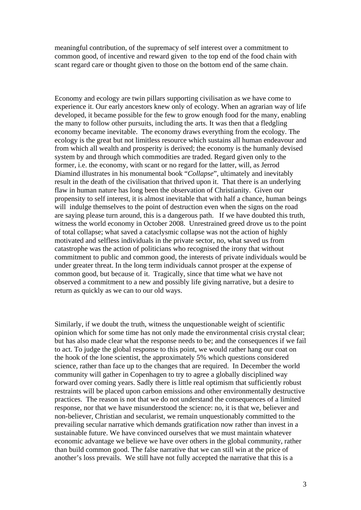meaningful contribution, of the supremacy of self interest over a commitment to common good, of incentive and reward given to the top end of the food chain with scant regard care or thought given to those on the bottom end of the same chain.

Economy and ecology are twin pillars supporting civilisation as we have come to experience it. Our early ancestors knew only of ecology. When an agrarian way of life developed, it became possible for the few to grow enough food for the many, enabling the many to follow other pursuits, including the arts. It was then that a fledgling economy became inevitable. The economy draws everything from the ecology. The ecology is the great but not limitless resource which sustains all human endeavour and from which all wealth and prosperity is derived; the economy is the humanly devised system by and through which commodities are traded. Regard given only to the former, i.e. the economy, with scant or no regard for the latter, will, as Jerrod Diamind illustrates in his monumental book "*Collapse*", ultimately and inevitably result in the death of the civilisation that thrived upon it. That there is an underlying flaw in human nature has long been the observation of Christianity. Given our propensity to self interest, it is almost inevitable that with half a chance, human beings will indulge themselves to the point of destruction even when the signs on the road are saying please turn around, this is a dangerous path. If we have doubted this truth, witness the world economy in October 2008. Unrestrained greed drove us to the point of total collapse; what saved a cataclysmic collapse was not the action of highly motivated and selfless individuals in the private sector, no, what saved us from catastrophe was the action of politicians who recognised the irony that without commitment to public and common good, the interests of private individuals would be under greater threat. In the long term individuals cannot prosper at the expense of common good, but because of it. Tragically, since that time what we have not observed a commitment to a new and possibly life giving narrative, but a desire to return as quickly as we can to our old ways.

Similarly, if we doubt the truth, witness the unquestionable weight of scientific opinion which for some time has not only made the environmental crisis crystal clear; but has also made clear what the response needs to be; and the consequences if we fail to act. To judge the global response to this point, we would rather hang our coat on the hook of the lone scientist, the approximately 5% which questions considered science, rather than face up to the changes that are required. In December the world community will gather in Copenhagen to try to agree a globally disciplined way forward over coming years. Sadly there is little real optimism that sufficiently robust restraints will be placed upon carbon emissions and other environmentally destructive practices. The reason is not that we do not understand the consequences of a limited response, nor that we have misunderstood the science: no, it is that we, believer and non-believer, Christian and secularist, we remain unquestionably committed to the prevailing secular narrative which demands gratification now rather than invest in a sustainable future. We have convinced ourselves that we must maintain whatever economic advantage we believe we have over others in the global community, rather than build common good. The false narrative that we can still win at the price of another's loss prevails. We still have not fully accepted the narrative that this is a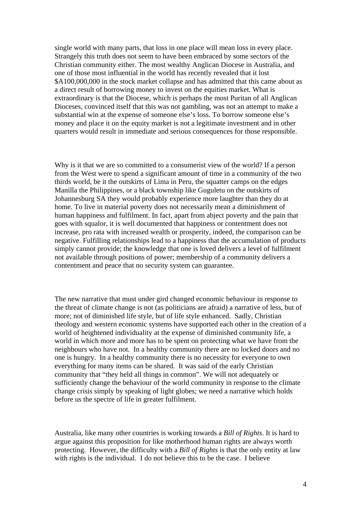single world with many parts, that loss in one place will mean loss in every place. Strangely this truth does not seem to have been embraced by some sectors of the Christian community either. The most wealthy Anglican Diocese in Australia, and one of those most influential in the world has recently revealed that it lost \$A100,000,000 in the stock market collapse and has admitted that this came about as a direct result of borrowing money to invest on the equities market. What is extraordinary is that the Diocese, which is perhaps the most Puritan of all Anglican Dioceses, convinced itself that this was not gambling, was not an attempt to make a substantial win at the expense of someone else's loss. To borrow someone else's money and place it on the equity market is not a legitimate investment and in other quarters would result in immediate and serious consequences for those responsible.

Why is it that we are so committed to a consumerist view of the world? If a person from the West were to spend a significant amount of time in a community of the two thirds world, be it the outskirts of Lima in Peru, the squatter camps on the edges Manilla the Philippines, or a black township like Guguletu on the outskirts of Johannesburg SA they would probably experience more laughter than they do at home. To live in material poverty does not necessarily mean a diminishment of human happiness and fulfilment. In fact, apart from abject poverty and the pain that goes with squalor, it is well documented that happiness or contentment does not increase, pro rata with increased wealth or prosperity, indeed, the comparison can be negative. Fulfilling relationships lead to a happiness that the accumulation of products simply cannot provide; the knowledge that one is loved delivers a level of fulfilment not available through positions of power; membership of a community delivers a contentment and peace that no security system can guarantee.

The new narrative that must under gird changed economic behaviour in response to the threat of climate change is not (as politicians are afraid) a narrative of less, but of more; not of diminished life style, but of life style enhanced. Sadly, Christian theology and western economic systems have supported each other in the creation of a world of heightened individuality at the expense of diminished community life, a world in which more and more has to be spent on protecting what we have from the neighbours who have not. In a healthy community there are no locked doors and no one is hungry. In a healthy community there is no necessity for everyone to own everything for many items can be shared. It was said of the early Christian community that "they held all things in common". We will not adequately or sufficiently change the behaviour of the world community in response to the climate change crisis simply by speaking of light globes; we need a narrative which holds before us the spectre of life in greater fulfilment.

Australia, like many other countries is working towards a *Bill of Rights*. It is hard to argue against this proposition for like motherhood human rights are always worth protecting. However, the difficulty with a *Bill of Rights* is that the only entity at law with rights is the individual. I do not believe this to be the case. I believe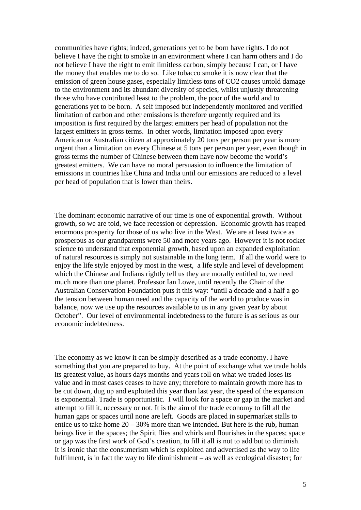communities have rights; indeed, generations yet to be born have rights. I do not believe I have the right to smoke in an environment where I can harm others and I do not believe I have the right to emit limitless carbon, simply because I can, or I have the money that enables me to do so. Like tobacco smoke it is now clear that the emission of green house gases, especially limitless tons of CO2 causes untold damage to the environment and its abundant diversity of species, whilst unjustly threatening those who have contributed least to the problem, the poor of the world and to generations yet to be born. A self imposed but independently monitored and verified limitation of carbon and other emissions is therefore urgently required and its imposition is first required by the largest emitters per head of population not the largest emitters in gross terms. In other words, limitation imposed upon every American or Australian citizen at approximately 20 tons per person per year is more urgent than a limitation on every Chinese at 5 tons per person per year, even though in gross terms the number of Chinese between them have now become the world's greatest emitters. We can have no moral persuasion to influence the limitation of emissions in countries like China and India until our emissions are reduced to a level per head of population that is lower than theirs.

The dominant economic narrative of our time is one of exponential growth. Without growth, so we are told, we face recession or depression. Economic growth has reaped enormous prosperity for those of us who live in the West. We are at least twice as prosperous as our grandparents were 50 and more years ago. However it is not rocket science to understand that exponential growth, based upon an expanded exploitation of natural resources is simply not sustainable in the long term. If all the world were to enjoy the life style enjoyed by most in the west, a life style and level of development which the Chinese and Indians rightly tell us they are morally entitled to, we need much more than one planet. Professor Ian Lowe, until recently the Chair of the Australian Conservation Foundation puts it this way: "until a decade and a half a go the tension between human need and the capacity of the world to produce was in balance, now we use up the resources available to us in any given year by about October". Our level of environmental indebtedness to the future is as serious as our economic indebtedness.

The economy as we know it can be simply described as a trade economy. I have something that you are prepared to buy. At the point of exchange what we trade holds its greatest value, as hours days months and years roll on what we traded loses its value and in most cases ceases to have any; therefore to maintain growth more has to be cut down, dug up and exploited this year than last year, the speed of the expansion is exponential. Trade is opportunistic. I will look for a space or gap in the market and attempt to fill it, necessary or not. It is the aim of the trade economy to fill all the human gaps or spaces until none are left. Goods are placed in supermarket stalls to entice us to take home  $20 - 30\%$  more than we intended. But here is the rub, human beings live in the spaces; the Spirit flies and whirls and flourishes in the spaces; space or gap was the first work of God's creation, to fill it all is not to add but to diminish. It is ironic that the consumerism which is exploited and advertised as the way to life fulfilment, is in fact the way to life diminishment – as well as ecological disaster; for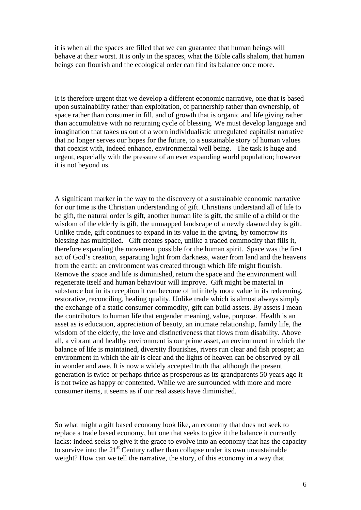it is when all the spaces are filled that we can guarantee that human beings will behave at their worst. It is only in the spaces, what the Bible calls shalom, that human beings can flourish and the ecological order can find its balance once more.

It is therefore urgent that we develop a different economic narrative, one that is based upon sustainability rather than exploitation, of partnership rather than ownership, of space rather than consumer in fill, and of growth that is organic and life giving rather than accumulative with no returning cycle of blessing. We must develop language and imagination that takes us out of a worn individualistic unregulated capitalist narrative that no longer serves our hopes for the future, to a sustainable story of human values that coexist with, indeed enhance, environmental well being. The task is huge and urgent, especially with the pressure of an ever expanding world population; however it is not beyond us.

A significant marker in the way to the discovery of a sustainable economic narrative for our time is the Christian understanding of gift. Christians understand all of life to be gift, the natural order is gift, another human life is gift, the smile of a child or the wisdom of the elderly is gift, the unmapped landscape of a newly dawned day is gift. Unlike trade, gift continues to expand in its value in the giving, by tomorrow its blessing has multiplied. Gift creates space, unlike a traded commodity that fills it, therefore expanding the movement possible for the human spirit. Space was the first act of God's creation, separating light from darkness, water from land and the heavens from the earth: an environment was created through which life might flourish. Remove the space and life is diminished, return the space and the environment will regenerate itself and human behaviour will improve. Gift might be material in substance but in its reception it can become of infinitely more value in its redeeming, restorative, reconciling, healing quality. Unlike trade which is almost always simply the exchange of a static consumer commodity, gift can build assets. By assets I mean the contributors to human life that engender meaning, value, purpose. Health is an asset as is education, appreciation of beauty, an intimate relationship, family life, the wisdom of the elderly, the love and distinctiveness that flows from disability. Above all, a vibrant and healthy environment is our prime asset, an environment in which the balance of life is maintained, diversity flourishes, rivers run clear and fish prosper; an environment in which the air is clear and the lights of heaven can be observed by all in wonder and awe. It is now a widely accepted truth that although the present generation is twice or perhaps thrice as prosperous as its grandparents 50 years ago it is not twice as happy or contented. While we are surrounded with more and more consumer items, it seems as if our real assets have diminished.

So what might a gift based economy look like, an economy that does not seek to replace a trade based economy, but one that seeks to give it the balance it currently lacks: indeed seeks to give it the grace to evolve into an economy that has the capacity to survive into the  $21<sup>st</sup>$  Century rather than collapse under its own unsustainable weight? How can we tell the narrative, the story, of this economy in a way that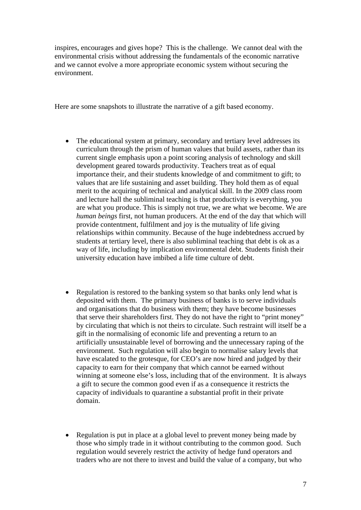inspires, encourages and gives hope? This is the challenge. We cannot deal with the environmental crisis without addressing the fundamentals of the economic narrative and we cannot evolve a more appropriate economic system without securing the environment.

Here are some snapshots to illustrate the narrative of a gift based economy.

- The educational system at primary, secondary and tertiary level addresses its curriculum through the prism of human values that build assets, rather than its current single emphasis upon a point scoring analysis of technology and skill development geared towards productivity. Teachers treat as of equal importance their, and their students knowledge of and commitment to gift; to values that are life sustaining and asset building. They hold them as of equal merit to the acquiring of technical and analytical skill. In the 2009 class room and lecture hall the subliminal teaching is that productivity is everything, you are what you produce. This is simply not true, we are what we become. We are *human beings* first, not human producers. At the end of the day that which will provide contentment, fulfilment and joy is the mutuality of life giving relationships within community. Because of the huge indebtedness accrued by students at tertiary level, there is also subliminal teaching that debt is ok as a way of life, including by implication environmental debt. Students finish their university education have imbibed a life time culture of debt.
- Regulation is restored to the banking system so that banks only lend what is deposited with them. The primary business of banks is to serve individuals and organisations that do business with them; they have become businesses that serve their shareholders first. They do not have the right to "print money" by circulating that which is not theirs to circulate. Such restraint will itself be a gift in the normalising of economic life and preventing a return to an artificially unsustainable level of borrowing and the unnecessary raping of the environment. Such regulation will also begin to normalise salary levels that have escalated to the grotesque, for CEO's are now hired and judged by their capacity to earn for their company that which cannot be earned without winning at someone else's loss, including that of the environment. It is always a gift to secure the common good even if as a consequence it restricts the capacity of individuals to quarantine a substantial profit in their private domain.
- Regulation is put in place at a global level to prevent money being made by those who simply trade in it without contributing to the common good. Such regulation would severely restrict the activity of hedge fund operators and traders who are not there to invest and build the value of a company, but who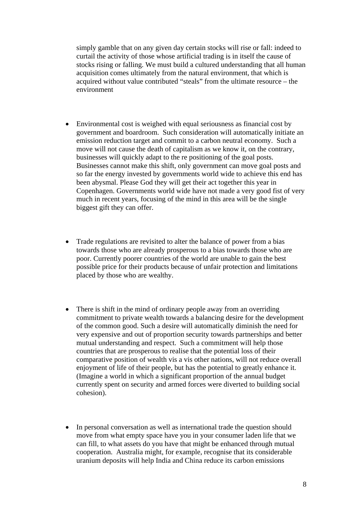simply gamble that on any given day certain stocks will rise or fall: indeed to curtail the activity of those whose artificial trading is in itself the cause of stocks rising or falling. We must build a cultured understanding that all human acquisition comes ultimately from the natural environment, that which is acquired without value contributed "steals" from the ultimate resource – the environment

- Environmental cost is weighed with equal seriousness as financial cost by government and boardroom. Such consideration will automatically initiate an emission reduction target and commit to a carbon neutral economy. Such a move will not cause the death of capitalism as we know it, on the contrary, businesses will quickly adapt to the re positioning of the goal posts. Businesses cannot make this shift, only government can move goal posts and so far the energy invested by governments world wide to achieve this end has been abysmal. Please God they will get their act together this year in Copenhagen. Governments world wide have not made a very good fist of very much in recent years, focusing of the mind in this area will be the single biggest gift they can offer.
- Trade regulations are revisited to alter the balance of power from a bias towards those who are already prosperous to a bias towards those who are poor. Currently poorer countries of the world are unable to gain the best possible price for their products because of unfair protection and limitations placed by those who are wealthy.
- There is shift in the mind of ordinary people away from an overriding commitment to private wealth towards a balancing desire for the development of the common good. Such a desire will automatically diminish the need for very expensive and out of proportion security towards partnerships and better mutual understanding and respect. Such a commitment will help those countries that are prosperous to realise that the potential loss of their comparative position of wealth vis a vis other nations, will not reduce overall enjoyment of life of their people, but has the potential to greatly enhance it. (Imagine a world in which a significant proportion of the annual budget currently spent on security and armed forces were diverted to building social cohesion).
- In personal conversation as well as international trade the question should move from what empty space have you in your consumer laden life that we can fill, to what assets do you have that might be enhanced through mutual cooperation. Australia might, for example, recognise that its considerable uranium deposits will help India and China reduce its carbon emissions